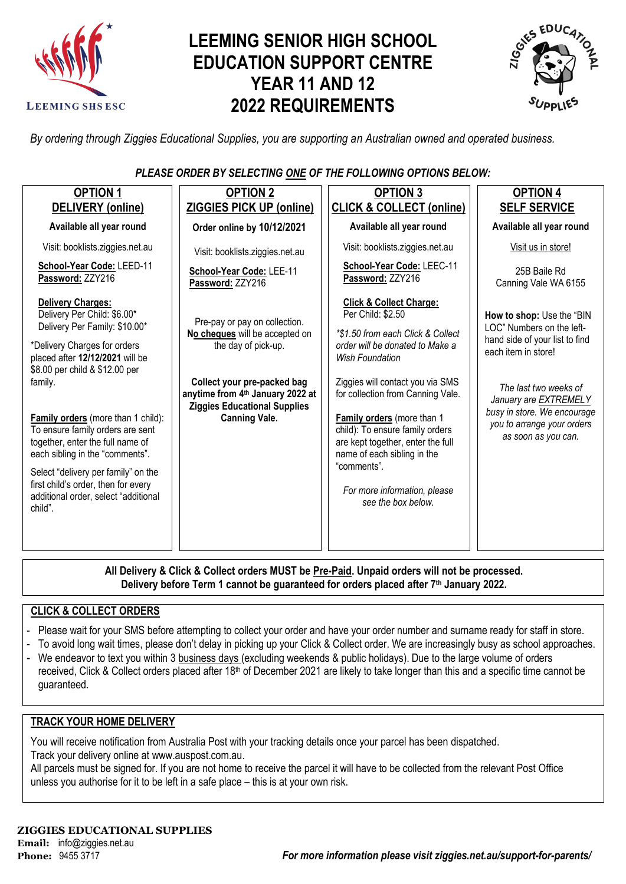

# **LEEMING SENIOR HIGH SCHOOL EDUCATION SUPPORT CENTRE YEAR 11 AND 12 2022 REQUIREMENTS**



*By ordering through Ziggies Educational Supplies, you are supporting an Australian owned and operated business.*

### *PLEASE ORDER BY SELECTING ONE OF THE FOLLOWING OPTIONS BELOW:*

| Available all year round<br>Order online by 10/12/2021<br>Visit: booklists.ziggies.net.au<br>Visit: booklists.ziggies.net.au<br>School-Year Code: LEED-11<br>School-Year Code: LEE-11<br>Password: ZZY216<br>Password: ZZY216<br><b>Delivery Charges:</b><br>Delivery Per Child: \$6.00*<br>Pre-pay or pay on collection.<br>Delivery Per Family: \$10.00*<br>No cheques will be accepted on<br>*Delivery Charges for orders<br>the day of pick-up.<br>placed after 12/12/2021 will be<br>\$8.00 per child & \$12.00 per<br>Collect your pre-packed bag<br>family.<br>anytime from 4th January 2022 at | Available all year round<br>Visit: booklists.ziggies.net.au                                                                                                                                                                                                                                                                                                                                                                                  | Available all year round<br>Visit us in store!                                                                                                                                                                                                        |
|--------------------------------------------------------------------------------------------------------------------------------------------------------------------------------------------------------------------------------------------------------------------------------------------------------------------------------------------------------------------------------------------------------------------------------------------------------------------------------------------------------------------------------------------------------------------------------------------------------|----------------------------------------------------------------------------------------------------------------------------------------------------------------------------------------------------------------------------------------------------------------------------------------------------------------------------------------------------------------------------------------------------------------------------------------------|-------------------------------------------------------------------------------------------------------------------------------------------------------------------------------------------------------------------------------------------------------|
|                                                                                                                                                                                                                                                                                                                                                                                                                                                                                                                                                                                                        |                                                                                                                                                                                                                                                                                                                                                                                                                                              |                                                                                                                                                                                                                                                       |
|                                                                                                                                                                                                                                                                                                                                                                                                                                                                                                                                                                                                        |                                                                                                                                                                                                                                                                                                                                                                                                                                              |                                                                                                                                                                                                                                                       |
|                                                                                                                                                                                                                                                                                                                                                                                                                                                                                                                                                                                                        | School-Year Code: LEEC-11<br>Password: ZZY216                                                                                                                                                                                                                                                                                                                                                                                                | 25B Baile Rd<br>Canning Vale WA 6155                                                                                                                                                                                                                  |
| <b>Ziggies Educational Supplies</b><br>Family orders (more than 1 child):<br><b>Canning Vale.</b><br>To ensure family orders are sent<br>together, enter the full name of<br>each sibling in the "comments".<br>Select "delivery per family" on the<br>first child's order, then for every<br>additional order, select "additional<br>child".                                                                                                                                                                                                                                                          | <b>Click &amp; Collect Charge:</b><br>Per Child: \$2.50<br>*\$1.50 from each Click & Collect<br>order will be donated to Make a<br><b>Wish Foundation</b><br>Ziggies will contact you via SMS<br>for collection from Canning Vale.<br>Family orders (more than 1<br>child): To ensure family orders<br>are kept together, enter the full<br>name of each sibling in the<br>"comments".<br>For more information, please<br>see the box below. | How to shop: Use the "BIN<br>LOC" Numbers on the left-<br>hand side of your list to find<br>each item in store!<br>The last two weeks of<br>January are EXTREMELY<br>busy in store. We encourage<br>you to arrange your orders<br>as soon as you can. |

**All Delivery & Click & Collect orders MUST be Pre-Paid. Unpaid orders will not be processed. Delivery before Term 1 cannot be guaranteed for orders placed after 7th January 2022.**

### **CLICK & COLLECT ORDERS**

- Please wait for your SMS before attempting to collect your order and have your order number and surname ready for staff in store.
- To avoid long wait times, please don't delay in picking up your Click & Collect order. We are increasingly busy as school approaches.
- We endeavor to text you within 3 business days (excluding weekends & public holidays). Due to the large volume of orders received, Click & Collect orders placed after 18<sup>th</sup> of December 2021 are likely to take longer than this and a specific time cannot be guaranteed.

#### **TRACK YOUR HOME DELIVERY**

You will receive notification from Australia Post with your tracking details once your parcel has been dispatched. Track your delivery online a[t www.auspost.com.au.](http://www.auspost.com.au/)

All parcels must be signed for. If you are not home to receive the parcel it will have to be collected from the relevant Post Office unless you authorise for it to be left in a safe place – this is at your own risk.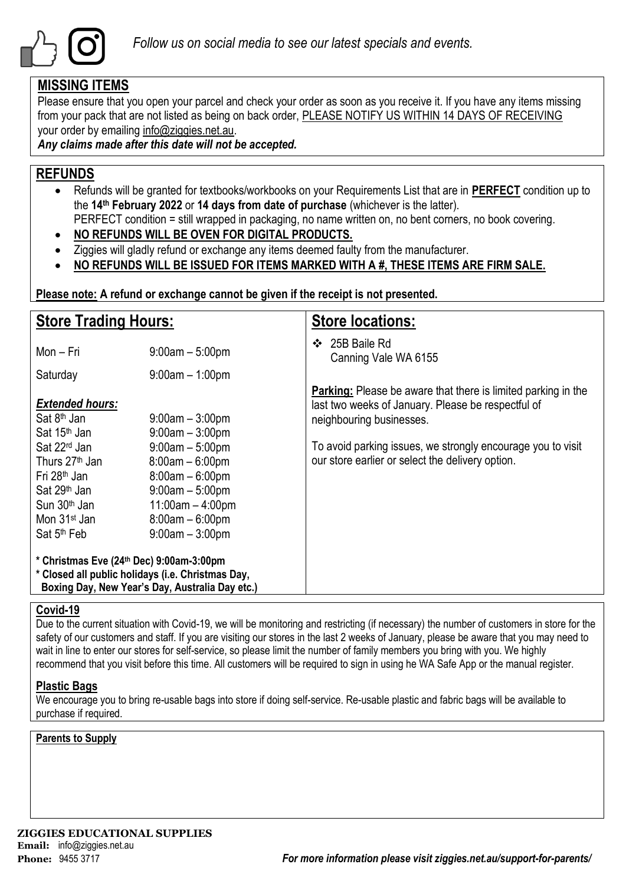

## **MISSING ITEMS**

Please ensure that you open your parcel and check your order as soon as you receive it. If you have any items missing from your pack that are not listed as being on back order, PLEASE NOTIFY US WITHIN 14 DAYS OF RECEIVING your order by emailing info@ziggies.net.au.

*Any claims made after this date will not be accepted.*

## **REFUNDS**

- Refunds will be granted for textbooks/workbooks on your Requirements List that are in **PERFECT** condition up to the **14th February 2022** or **14 days from date of purchase** (whichever is the latter). PERFECT condition = still wrapped in packaging, no name written on, no bent corners, no book covering.
- **NO REFUNDS WILL BE OVEN FOR DIGITAL PRODUCTS.**
- Ziggies will gladly refund or exchange any items deemed faulty from the manufacturer.
- **NO REFUNDS WILL BE ISSUED FOR ITEMS MARKED WITH A #, THESE ITEMS ARE FIRM SALE.**

**Please note: A refund or exchange cannot be given if the receipt is not presented.**

| <b>Store Trading Hours:</b>                                                                                                                                                                       |                                                                                                                                                  | <b>Store locations:</b>                                                                                                                                |  |  |  |
|---------------------------------------------------------------------------------------------------------------------------------------------------------------------------------------------------|--------------------------------------------------------------------------------------------------------------------------------------------------|--------------------------------------------------------------------------------------------------------------------------------------------------------|--|--|--|
| Mon - Fri                                                                                                                                                                                         | $9:00am - 5:00pm$                                                                                                                                | 25B Baile Rd<br>❖<br>Canning Vale WA 6155                                                                                                              |  |  |  |
| Saturday                                                                                                                                                                                          | $9:00am - 1:00pm$                                                                                                                                |                                                                                                                                                        |  |  |  |
| <b>Extended hours:</b><br>Sat 8 <sup>th</sup> Jan<br>Sat 15 <sup>th</sup> Jan                                                                                                                     | $9:00$ am $-3:00$ pm<br>$9:00am - 3:00pm$                                                                                                        | <b>Parking:</b> Please be aware that there is limited parking in the<br>last two weeks of January. Please be respectful of<br>neighbouring businesses. |  |  |  |
| Sat 22 <sup>rd</sup> Jan<br>Thurs 27 <sup>th</sup> Jan<br>Fri 28 <sup>th</sup> Jan<br>Sat 29 <sup>th</sup> Jan<br>Sun 30 <sup>th</sup> Jan<br>Mon 31 <sup>st</sup> Jan<br>Sat 5 <sup>th</sup> Feb | $9:00am - 5:00pm$<br>$8:00am - 6:00pm$<br>$8:00am - 6:00pm$<br>$9:00am - 5:00pm$<br>$11:00am - 4:00pm$<br>$8:00am - 6:00pm$<br>$9:00am - 3:00pm$ | To avoid parking issues, we strongly encourage you to visit<br>our store earlier or select the delivery option.                                        |  |  |  |
| * Christmas Eve (24th Dec) 9:00am-3:00pm<br>* Closed all public holidays (i.e. Christmas Day,<br>Boxing Day, New Year's Day, Australia Day etc.)                                                  |                                                                                                                                                  |                                                                                                                                                        |  |  |  |

### **Covid-19**

Due to the current situation with Covid-19, we will be monitoring and restricting (if necessary) the number of customers in store for the safety of our customers and staff. If you are visiting our stores in the last 2 weeks of January, please be aware that you may need to wait in line to enter our stores for self-service, so please limit the number of family members you bring with you. We highly recommend that you visit before this time. All customers will be required to sign in using he WA Safe App or the manual register.

### **Plastic Bags**

We encourage you to bring re-usable bags into store if doing self-service. Re-usable plastic and fabric bags will be available to purchase if required.

### **Parents to Supply**